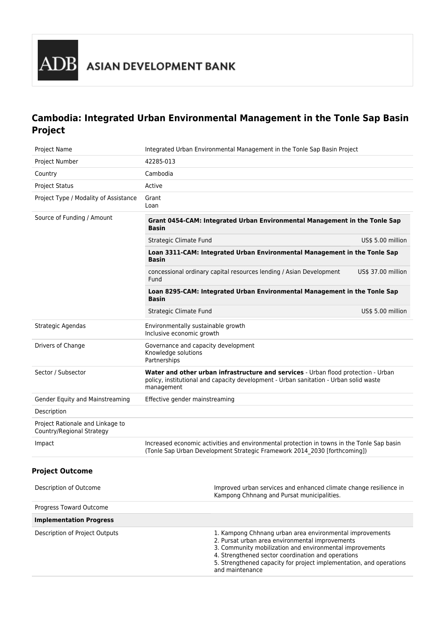

# **Cambodia: Integrated Urban Environmental Management in the Tonle Sap Basin Project**

| Project Name                                                  | Integrated Urban Environmental Management in the Tonle Sap Basin Project                                                                                                                  |                    |
|---------------------------------------------------------------|-------------------------------------------------------------------------------------------------------------------------------------------------------------------------------------------|--------------------|
| Project Number                                                | 42285-013                                                                                                                                                                                 |                    |
| Country                                                       | Cambodia                                                                                                                                                                                  |                    |
| <b>Project Status</b>                                         | Active                                                                                                                                                                                    |                    |
| Project Type / Modality of Assistance                         | Grant<br>Loan                                                                                                                                                                             |                    |
| Source of Funding / Amount                                    | Grant 0454-CAM: Integrated Urban Environmental Management in the Tonle Sap<br>Basin                                                                                                       |                    |
|                                                               | Strategic Climate Fund                                                                                                                                                                    | US\$ 5.00 million  |
|                                                               | Loan 3311-CAM: Integrated Urban Environmental Management in the Tonle Sap<br><b>Basin</b>                                                                                                 |                    |
|                                                               | concessional ordinary capital resources lending / Asian Development<br>Fund                                                                                                               | US\$ 37.00 million |
|                                                               | Loan 8295-CAM: Integrated Urban Environmental Management in the Tonle Sap<br><b>Basin</b>                                                                                                 |                    |
|                                                               | Strategic Climate Fund                                                                                                                                                                    | US\$ 5.00 million  |
| Strategic Agendas                                             | Environmentally sustainable growth<br>Inclusive economic growth                                                                                                                           |                    |
| Drivers of Change                                             | Governance and capacity development<br>Knowledge solutions<br>Partnerships                                                                                                                |                    |
| Sector / Subsector                                            | Water and other urban infrastructure and services - Urban flood protection - Urban<br>policy, institutional and capacity development - Urban sanitation - Urban solid waste<br>management |                    |
| Gender Equity and Mainstreaming                               | Effective gender mainstreaming                                                                                                                                                            |                    |
| Description                                                   |                                                                                                                                                                                           |                    |
| Project Rationale and Linkage to<br>Country/Regional Strategy |                                                                                                                                                                                           |                    |
| Impact                                                        | Increased economic activities and environmental protection in towns in the Tonle Sap basin<br>(Tonle Sap Urban Development Strategic Framework 2014 2030 [forthcoming])                   |                    |
| <b>Project Outcome</b>                                        |                                                                                                                                                                                           |                    |
| Description of Outcome                                        | Improved urban services and enhanced climate change resilience in<br>Kampong Chhnang and Pursat municipalities.                                                                           |                    |

| Progress Toward Outcome        |                                                                                                                                                                                                                                                                                                                         |
|--------------------------------|-------------------------------------------------------------------------------------------------------------------------------------------------------------------------------------------------------------------------------------------------------------------------------------------------------------------------|
| <b>Implementation Progress</b> |                                                                                                                                                                                                                                                                                                                         |
| Description of Project Outputs | 1. Kampong Chhnang urban area environmental improvements<br>2. Pursat urban area environmental improvements<br>3. Community mobilization and environmental improvements<br>4. Strengthened sector coordination and operations<br>5. Strengthened capacity for project implementation, and operations<br>and maintenance |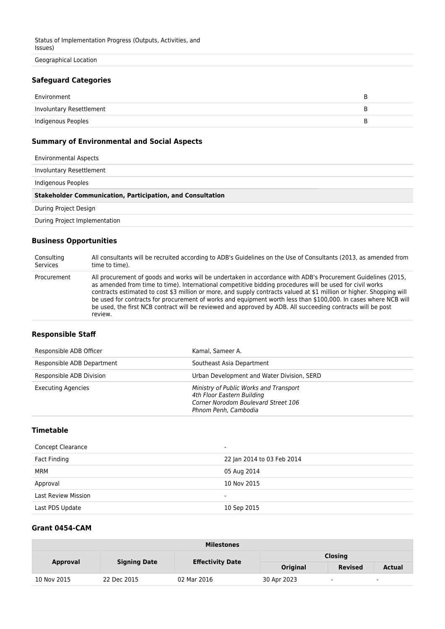Geographical Location

#### **Safeguard Categories**

| Environment              |  |
|--------------------------|--|
| Involuntary Resettlement |  |
| Indigenous Peoples       |  |

## **Summary of Environmental and Social Aspects**

| <b>Environmental Aspects</b>                                      |
|-------------------------------------------------------------------|
| Involuntary Resettlement                                          |
| Indigenous Peoples                                                |
|                                                                   |
| <b>Stakeholder Communication, Participation, and Consultation</b> |
| During Project Design                                             |
| During Project Implementation                                     |

## **Business Opportunities**

| Consulting  | All consultants will be recruited according to ADB's Guidelines on the Use of Consultants (2013, as amended from                                                                                                                                                                                                                                                                                                                                                                                                                                                                              |
|-------------|-----------------------------------------------------------------------------------------------------------------------------------------------------------------------------------------------------------------------------------------------------------------------------------------------------------------------------------------------------------------------------------------------------------------------------------------------------------------------------------------------------------------------------------------------------------------------------------------------|
| Services    | time to time).                                                                                                                                                                                                                                                                                                                                                                                                                                                                                                                                                                                |
| Procurement | All procurement of goods and works will be undertaken in accordance with ADB's Procurement Guidelines (2015,<br>as amended from time to time). International competitive bidding procedures will be used for civil works<br>contracts estimated to cost \$3 million or more, and supply contracts valued at \$1 million or higher. Shopping will<br>be used for contracts for procurement of works and equipment worth less than \$100,000. In cases where NCB will<br>be used, the first NCB contract will be reviewed and approved by ADB. All succeeding contracts will be post<br>review. |

#### **Responsible Staff**

| Responsible ADB Officer    | Kamal, Sameer A.                                                                                                                    |
|----------------------------|-------------------------------------------------------------------------------------------------------------------------------------|
| Responsible ADB Department | Southeast Asia Department                                                                                                           |
| Responsible ADB Division   | Urban Development and Water Division, SERD                                                                                          |
| <b>Executing Agencies</b>  | Ministry of Public Works and Transport<br>4th Floor Eastern Building<br>Corner Norodom Boulevard Street 106<br>Phnom Penh, Cambodia |

## **Timetable**

| <b>Concept Clearance</b>   | $\overline{\phantom{a}}$   |
|----------------------------|----------------------------|
| Fact Finding               | 22 Jan 2014 to 03 Feb 2014 |
| MRM                        | 05 Aug 2014                |
| Approval                   | 10 Nov 2015                |
| <b>Last Review Mission</b> | $\overline{\phantom{0}}$   |
| Last PDS Update            | 10 Sep 2015                |

## **Grant 0454-CAM**

| <b>Milestones</b> |                     |                         |             |                |               |
|-------------------|---------------------|-------------------------|-------------|----------------|---------------|
|                   | <b>Signing Date</b> | <b>Effectivity Date</b> |             | <b>Closing</b> |               |
| <b>Approval</b>   |                     |                         | Original    | <b>Revised</b> | <b>Actual</b> |
| 10 Nov 2015       | 22 Dec 2015         | 02 Mar 2016             | 30 Apr 2023 | $\sim$         | $\sim$        |